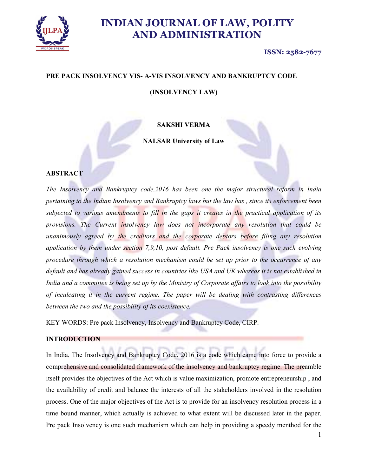

#### ISSN: 2582-7677

# PRE PACK INSOLVENCY VIS- A-VIS INSOLVENCY AND BANKRUPTCY CODE

### (INSOLVENCY LAW)

### SAKSHI VERMA

NALSAR University of Law

### ABSTRACT

The Insolvency and Bankruptcy code,2016 has been one the major structural reform in India pertaining to the Indian Insolvency and Bankruptcy laws but the law has , since its enforcement been subjected to various amendments to fill in the gaps it creates in the practical application of its provisions. The Current insolvency law does not incorporate any resolution that could be unanimously agreed by the creditors and the corporate debtors before filing any resolution application by them under section 7,9,10, post default. Pre Pack insolvency is one such evolving procedure through which a resolution mechanism could be set up prior to the occurrence of any default and has already gained success in countries like USA and UK whereas it is not established in India and a committee is being set up by the Ministry of Corporate affairs to look into the possibility of inculcating it in the current regime. The paper will be dealing with contrasting differences between the two and the possibility of its coexistence.

KEY WORDS: Pre pack Insolvency, Insolvency and Bankruptcy Code, CIRP.

#### INTRODUCTION

In India, The Insolvency and Bankruptcy Code, 2016 is a code which came into force to provide a comprehensive and consolidated framework of the insolvency and bankruptcy regime. The preamble itself provides the objectives of the Act which is value maximization, promote entrepreneurship , and the availability of credit and balance the interests of all the stakeholders involved in the resolution process. One of the major objectives of the Act is to provide for an insolvency resolution process in a time bound manner, which actually is achieved to what extent will be discussed later in the paper. Pre pack Insolvency is one such mechanism which can help in providing a speedy menthod for the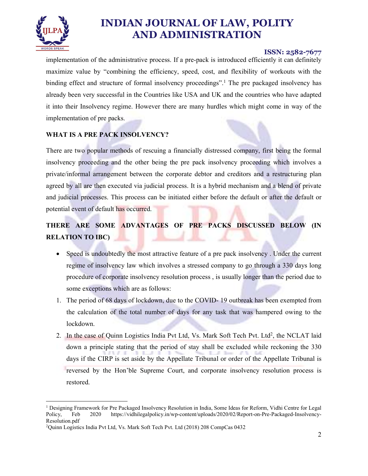

### ISSN: 2582-7677

implementation of the administrative process. If a pre-pack is introduced efficiently it can definitely maximize value by "combining the efficiency, speed, cost, and flexibility of workouts with the binding effect and structure of formal insolvency proceedings".<sup>1</sup> The pre packaged insolvency has already been very successful in the Countries like USA and UK and the countries who have adapted it into their Insolvency regime. However there are many hurdles which might come in way of the implementation of pre packs.

## WHAT IS A PRE PACK INSOLVENCY?

There are two popular methods of rescuing a financially distressed company, first being the formal insolvency proceeding and the other being the pre pack insolvency proceeding which involves a private/informal arrangement between the corporate debtor and creditors and a restructuring plan agreed by all are then executed via judicial process. It is a hybrid mechanism and a blend of private and judicial processes. This process can be initiated either before the default or after the default or potential event of default has occurred.

# THERE ARE SOME ADVANTAGES OF PRE PACKS DISCUSSED BELOW (IN RELATION TO IBC)

- Speed is undoubtedly the most attractive feature of a pre pack insolvency. Under the current regime of insolvency law which involves a stressed company to go through a 330 days long procedure of corporate insolvency resolution process , is usually longer than the period due to some exceptions which are as follows:
- 1. The period of 68 days of lockdown, due to the COVID- 19 outbreak has been exempted from the calculation of the total number of days for any task that was hampered owing to the lockdown.
- 2. In the case of Quinn Logistics India Pvt Ltd, Vs. Mark Soft Tech Pvt. Ltd<sup>2</sup>, the NCLAT laid down a principle stating that the period of stay shall be excluded while reckoning the 330 days if the CIRP is set aside by the Appellate Tribunal or order of the Appellate Tribunal is reversed by the Hon'ble Supreme Court, and corporate insolvency resolution process is restored.

 <sup>1</sup> Designing Framework for Pre Packaged Insolvency Resolution in India, Some Ideas for Reform, Vidhi Centre for Legal Policy, Feb 2020 https://vidhilegalpolicy.in/wp-content/uploads/2020/02/Report-on-Pre-Packaged-Insolvency-Resolution.pdf<br><sup>2</sup>Quinn Logistics India Pvt Ltd, Vs. Mark Soft Tech Pvt. Ltd (2018) 208 CompCas 0432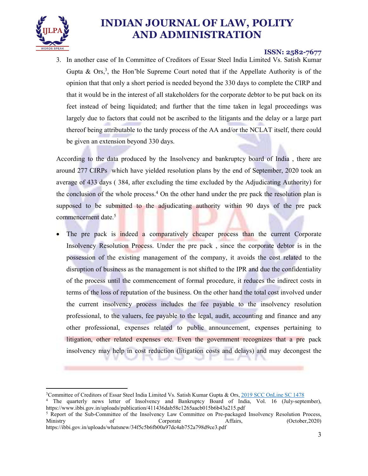

### ISSN: 2582-7677

3. In another case of In Committee of Creditors of Essar Steel India Limited Vs. Satish Kumar Gupta & Ors,<sup>3</sup>, the Hon'ble Supreme Court noted that if the Appellate Authority is of the opinion that that only a short period is needed beyond the 330 days to complete the CIRP and that it would be in the interest of all stakeholders for the corporate debtor to be put back on its feet instead of being liquidated; and further that the time taken in legal proceedings was largely due to factors that could not be ascribed to the litigants and the delay or a large part thereof being attributable to the tardy process of the AA and/or the NCLAT itself, there could be given an extension beyond 330 days.

According to the data produced by the Insolvency and bankruptcy board of India , there are around 277 CIRPs which have yielded resolution plans by the end of September, 2020 took an average of 433 days ( 384, after excluding the time excluded by the Adjudicating Authority) for the conclusion of the whole process.<sup>4</sup> On the other hand under the pre pack the resolution plan is supposed to be submitted to the adjudicating authority within 90 days of the pre pack commencement date.<sup>5</sup>

The pre pack is indeed a comparatively cheaper process than the current Corporate Insolvency Resolution Process. Under the pre pack , since the corporate debtor is in the possession of the existing management of the company, it avoids the cost related to the disruption of business as the management is not shifted to the IPR and due the confidentiality of the process until the commencement of formal procedure, it reduces the indirect costs in terms of the loss of reputation of the business. On the other hand the total cost involved under the current insolvency process includes the fee payable to the insolvency resolution professional, to the valuers, fee payable to the legal, audit, accounting and finance and any other professional, expenses related to public announcement, expenses pertaining to litigation, other related expenses etc. Even the government recognizes that a pre pack insolvency may help in cost reduction (litigation costs and delays) and may decongest the

 <sup>3</sup>Committee of Creditors of Essar Steel India Limited Vs. Satish Kumar Gupta & Ors, 2019 SCC OnLine SC 1478

<sup>4</sup> The quarterly news letter of Insolvency and Bankruptcy Board of India, Vol. 16 (July-september), https://www.ibbi.gov.in/uploads/publication/411436dab58c1265aacb015b6b43a215.pdf

<sup>&</sup>lt;sup>5</sup> Report of the Sub-Committee of the Insolvency Law Committee on Pre-packaged Insolvency Resolution Process, Ministry of Corporate Affairs, (October, 2020) https://ibbi.gov.in/uploads/whatsnew/34f5c5b6fb00a97dc4ab752a798d9ce3.pdf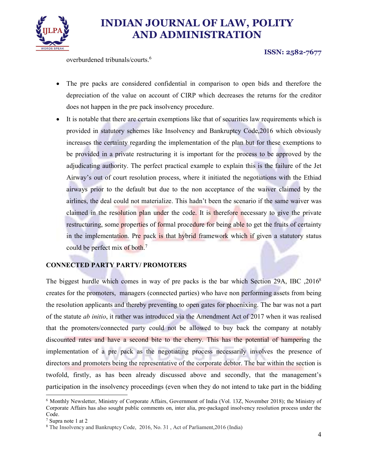

ISSN: 2582-7677

overburdened tribunals/courts.6

- The pre packs are considered confidential in comparison to open bids and therefore the depreciation of the value on account of CIRP which decreases the returns for the creditor does not happen in the pre pack insolvency procedure.
- It is notable that there are certain exemptions like that of securities law requirements which is provided in statutory schemes like Insolvency and Bankruptcy Code,2016 which obviously increases the certainty regarding the implementation of the plan but for these exemptions to be provided in a private restructuring it is important for the process to be approved by the adjudicating authority. The perfect practical example to explain this is the failure of the Jet Airway's out of court resolution process, where it initiated the negotiations with the Ethiad airways prior to the default but due to the non acceptance of the waiver claimed by the airlines, the deal could not materialize. This hadn't been the scenario if the same waiver was claimed in the resolution plan under the code. It is therefore necessary to give the private restructuring, some properties of formal procedure for being able to get the fruits of certainty in the implementation. Pre pack is that hybrid framework which if given a statutory status could be perfect mix of both.7

### CONNECTED PARTY PARTY/ PROMOTERS

The biggest hurdle which comes in way of pre packs is the bar which Section 29A, IBC ,20168 creates for the promoters, managers (connected parties) who have non performing assets from being the resolution applicants and thereby preventing to open gates for phoenixing. The bar was not a part of the statute ab initio, it rather was introduced via the Amendment Act of 2017 when it was realised that the promoters/connected party could not be allowed to buy back the company at notably discounted rates and have a second bite to the cherry. This has the potential of hampering the implementation of a pre pack as the negotiating process necessarily involves the presence of directors and promoters being the representative of the corporate debtor. The bar within the section is twofold, firstly, as has been already discussed above and secondly, that the management's participation in the insolvency proceedings (even when they do not intend to take part in the bidding

 <sup>6</sup> Monthly Newsletter, Ministry of Corporate Affairs, Government of India (Vol. 13Z, November 2018); the Ministry of Corporate Affairs has also sought public comments on, inter alia, pre-packaged insolvency resolution process under the Code.<br> $\frac{7}{7}$  Supra note 1 at 2

<sup>&</sup>lt;sup>8</sup> The Insolvency and Bankruptcy Code, 2016, No. 31, Act of Parliament, 2016 (India)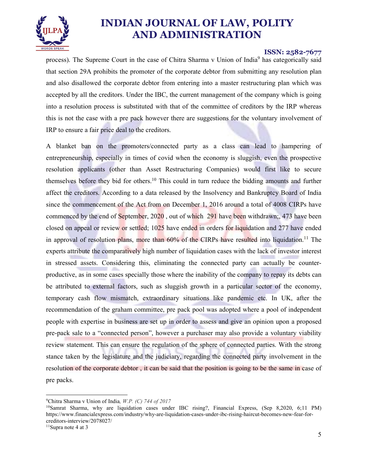

### ISSN: 2582-7677

process). The Supreme Court in the case of Chitra Sharma v Union of India<sup>9</sup> has categorically said that section 29A prohibits the promoter of the corporate debtor from submitting any resolution plan and also disallowed the corporate debtor from entering into a master restructuring plan which was accepted by all the creditors. Under the IBC, the current management of the company which is going into a resolution process is substituted with that of the committee of creditors by the IRP whereas this is not the case with a pre pack however there are suggestions for the voluntary involvement of IRP to ensure a fair price deal to the creditors.

A blanket ban on the promoters/connected party as a class can lead to hampering of entrepreneurship, especially in times of covid when the economy is sluggish, even the prospective resolution applicants (other than Asset Restructuring Companies) would first like to secure themselves before they bid for others.10 This could in turn reduce the bidding amounts and further affect the creditors. According to a data released by the Insolvency and Bankruptcy Board of India since the commencement of the Act from on December 1, 2016 around a total of 4008 CIRPs have commenced by the end of September, 2020 , out of which 291 have been withdrawn;, 473 have been closed on appeal or review or settled; 1025 have ended in orders for liquidation and 277 have ended in approval of resolution plans, more than  $60\%$  of the CIRPs have resulted into liquidation.<sup>11</sup> The experts attribute the comparatively high number of liquidation cases with the lack of investor interest in stressed assets. Considering this, eliminating the connected party can actually be counterproductive, as in some cases specially those where the inability of the company to repay its debts can be attributed to external factors, such as sluggish growth in a particular sector of the economy, temporary cash flow mismatch, extraordinary situations like pandemic etc. In UK, after the recommendation of the graham committee, pre pack pool was adopted where a pool of independent people with expertise in business are set up in order to assess and give an opinion upon a proposed pre-pack sale to a "connected person", however a purchaser may also provide a voluntary viability review statement. This can ensure the regulation of the sphere of connected parties. With the strong stance taken by the legislature and the judiciary, regarding the connected party involvement in the resolution of the corporate debtor , it can be said that the position is going to be the same in case of pre packs.

<sup>&</sup>lt;sup>9</sup>Chitra Sharma v Union of India, W.P. (C) 744 of 2017

<sup>10</sup>Samrat Sharma, why are liquidation cases under IBC rising?, Financial Express, (Sep 8,2020, 6;11 PM) https://www.financialexpress.com/industry/why-are-liquidation-cases-under-ibc-rising-haircut-becomes-new-fear-forcreditors-interview/2078027/ 11Supra note 4 at 3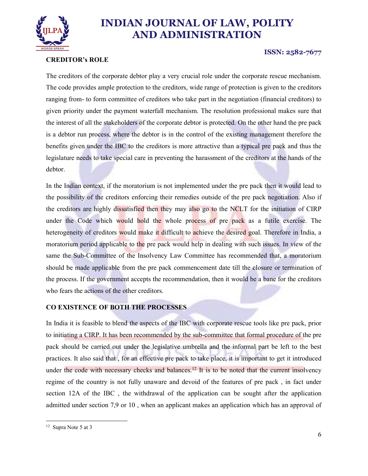

# CREDITOR's ROLE

#### ISSN: 2582-7677

The creditors of the corporate debtor play a very crucial role under the corporate rescue mechanism. The code provides ample protection to the creditors, wide range of protection is given to the creditors ranging from- to form committee of creditors who take part in the negotiation (financial creditors) to given priority under the payment waterfall mechanism. The resolution professional makes sure that the interest of all the stakeholders of the corporate debtor is protected. On the other hand the pre pack is a debtor run process, where the debtor is in the control of the existing management therefore the benefits given under the IBC to the creditors is more attractive than a typical pre pack and thus the legislature needs to take special care in preventing the harassment of the creditors at the hands of the debtor.

In the Indian context, if the moratorium is not implemented under the pre pack then it would lead to the possibility of the creditors enforcing their remedies outside of the pre pack negotiation. Also if the creditors are highly dissatisfied then they may also go to the NCLT for the initiation of CIRP under the Code which would hold the whole process of pre pack as a futile exercise. The heterogeneity of creditors would make it difficult to achieve the desired goal. Therefore in India, a moratorium period applicable to the pre pack would help in dealing with such issues. In view of the same the Sub-Committee of the Insolvency Law Committee has recommended that, a moratorium should be made applicable from the pre pack commencement date till the closure or termination of the process. If the government accepts the recommendation, then it would be a bane for the creditors who fears the actions of the other creditors.

### CO EXISTENCE OF BOTH THE PROCESSES

In India it is feasible to blend the aspects of the IBC with corporate rescue tools like pre pack, prior to initiating a CIRP. It has been recommended by the sub-committee that formal procedure of the pre pack should be carried out under the legislative umbrella and the informal part be left to the best practices. It also said that , for an effective pre pack to take place, it is important to get it introduced under the code with necessary checks and balances.<sup>12</sup> It is to be noted that the current insolvency regime of the country is not fully unaware and devoid of the features of pre pack , in fact under section 12A of the IBC , the withdrawal of the application can be sought after the application admitted under section 7,9 or 10 , when an applicant makes an application which has an approval of

 <sup>12</sup> Supra Note 5 at 3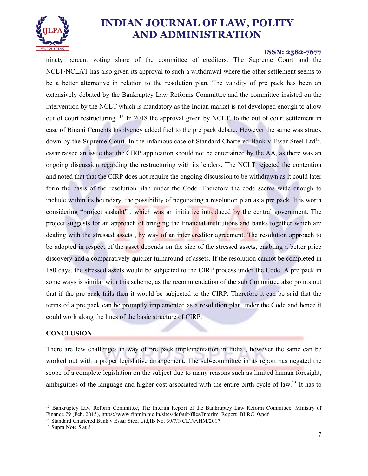

#### ISSN: 2582-7677

ninety percent voting share of the committee of creditors. The Supreme Court and the NCLT/NCLAT has also given its approval to such a withdrawal where the other settlement seems to be a better alternative in relation to the resolution plan. The validity of pre pack has been an extensively debated by the Bankruptcy Law Reforms Committee and the committee insisted on the intervention by the NCLT which is mandatory as the Indian market is not developed enough to allow out of court restructuring. 13 In 2018 the approval given by NCLT, to the out of court settlement in case of Binani Cements Insolvency added fuel to the pre pack debate. However the same was struck down by the Supreme Court. In the infamous case of Standard Chartered Bank v Essar Steel Ltd<sup>14</sup>,<br>essar raised an issue that the CIRP application should not be entertained by the AA, as there was an ongoing discussion regarding the restructuring with its lenders. The NCLT rejected the contention and noted that that the CIRP does not require the ongoing discussion to be withdrawn as it could later form the basis of the resolution plan under the Code. Therefore the code seems wide enough to include within its boundary, the possibility of negotiating a resolution plan as a pre pack. It is worth considering "project sashakt", which was an initiative introduced by the central government. The project suggests for an approach of bringing the financial institutions and banks together which are dealing with the stressed assets , by way of an inter creditor agreement. The resolution approach to be adopted in respect of the asset depends on the size of the stressed assets, enabling a better price discovery and a comparatively quicker turnaround of assets. If the resolution cannot be completed in 180 days, the stressed assets would be subjected to the CIRP process under the Code. A pre pack in some ways is similar with this scheme, as the recommendation of the sub Committee also points out that if the pre pack fails then it would be subjected to the CIRP. Therefore it can be said that the terms of a pre pack can be promptly implemented as a resolution plan under the Code and hence it could work along the lines of the basic structure of CIRP.

#### **CONCLUSION**

There are few challenges in way of pre pack implementation in India , however the same can be worked out with a proper legislative arrangement. The sub-committee in its report has negated the scope of a complete legislation on the subject due to many reasons such as limited human foresight, ambiguities of the language and higher cost associated with the entire birth cycle of law.15 It has to

<sup>&</sup>lt;sup>13</sup> Bankruptcy Law Reform Committee, The Interim Report of the Bankruptcy Law Reform Committee, Ministry of Finance 79 (Feb. 2015), https://www.finmin.nic.in/sites/default/files/Interim\_Report\_BLRC\_0.pdf <sup>14</sup> Standard Chartered Bank v Essar Steel Ltd,IB No. 39/7/NCLT/AHM/2017 <sup>15</sup> Supra Note 5 at 3